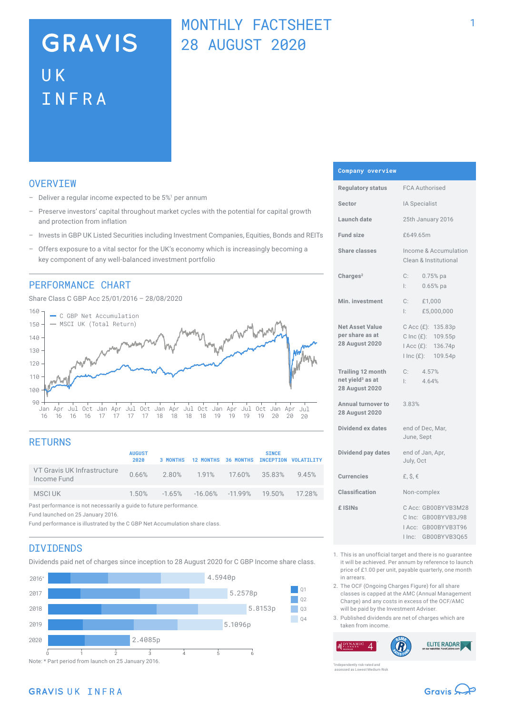# **GRAVIS** UK INFRA

## MONTHLY FACTSHEET 28 AUGUST 2020

## **OVERVTEW**

- $-$  Deliver a regular income expected to be  $5\%$ <sup>1</sup> per annum
- Preserve investors' capital throughout market cycles with the potential for capital growth and protection from inflation
- Invests in GBP UK Listed Securities including Investment Companies, Equities, Bonds and REITs
- Offers exposure to a vital sector for the UK's economy which is increasingly becoming a key component of any well-balanced investment portfolio

### PERFORMANCE CHART

Share Class C GBP Acc 25/01/2016 – 28/08/2020



## **RETURNS**

|                                                                    | <b>AUGUST</b><br>2020 | <b>3 MONTHS</b> |                                                              |  | <b>SINCE</b> | 12 MONTHS 36 MONTHS INCEPTION VOLATILITY |
|--------------------------------------------------------------------|-----------------------|-----------------|--------------------------------------------------------------|--|--------------|------------------------------------------|
| VT Gravis UK Infrastructure<br>Income Fund                         |                       |                 | 0.66% 2.80% 1.91% 17.60% 35.83% 9.45%                        |  |              |                                          |
| MSCI UK                                                            |                       |                 | $1.50\%$ $-1.65\%$ $-16.06\%$ $-11.99\%$ $19.50\%$ $17.28\%$ |  |              |                                          |
| Past performance is not necessarily a guide to future performance. |                       |                 |                                                              |  |              |                                          |

Fund launched on 25 January 2016.

Fund performance is illustrated by the C GBP Net Accumulation share class.

## DIVIDENDS

Dividends paid net of charges since inception to 28 August 2020 for C GBP Income share class.



#### **Company overview**

| <b>Regulatory status</b>                                                          | <b>FCA Authorised</b>                                                                      |  |  |  |
|-----------------------------------------------------------------------------------|--------------------------------------------------------------------------------------------|--|--|--|
| Sector                                                                            | IA Specialist                                                                              |  |  |  |
| Launch date                                                                       | 25th January 2016                                                                          |  |  |  |
| <b>Fund size</b>                                                                  | £649.65m                                                                                   |  |  |  |
| <b>Share classes</b>                                                              | Income & Accumulation<br>Clean & Institutional                                             |  |  |  |
| Charles <sup>2</sup>                                                              | C:<br>$0.75%$ pa<br>Ŀ.<br>$0.65%$ pa                                                       |  |  |  |
| Min. investment                                                                   | $C:$ £1,000<br>£5,000,000<br>l: I                                                          |  |  |  |
| <b>Net Asset Value</b><br>per share as at<br><b>28 August 2020</b>                | C Acc (£): 135.83p<br>C Inc (£): 109.55p<br>I Acc (£): 136.74p<br>I Inc (£): 109.54p       |  |  |  |
| <b>Trailing 12 month</b><br>net yield <sup>3</sup> as at<br><b>28 August 2020</b> | 4.57%<br>C:<br>4.64%<br>Ŀ.                                                                 |  |  |  |
| Annual turnover to<br><b>28 August 2020</b>                                       | 3.83%                                                                                      |  |  |  |
| Dividend ex dates                                                                 | end of Dec, Mar,<br>June, Sept                                                             |  |  |  |
| Dividend pay dates                                                                | end of Jan, Apr,<br>July, Oct                                                              |  |  |  |
| <b>Currencies</b>                                                                 | £, $$, €$                                                                                  |  |  |  |
| Classification                                                                    | Non-complex                                                                                |  |  |  |
| £ ISIN <sub>S</sub>                                                               | C Acc: GB00BYVB3M28<br>C Inc: GB00BYVB3J98<br>IAcc: GB00BYVB3T96<br>I Inc:<br>GB00BYVB3Q65 |  |  |  |

- 1. This is an unofficial target and there is no guarantee it will be achieved. Per annum by reference to launch price of £1.00 per unit, payable quarterly, one month in arrears.
- 2. The OCF (Ongoing Charges Figure) for all share classes is capped at the AMC (Annual Management Charge) and any costs in excess of the OCF/AMC will be paid by the Investment Adviser.
- 3. Published dividends are net of charges which are taken from income.

**ELITE RADAR**  $\boldsymbol{\varDelta}$ 

ently risk-rated and assessed as Lowest Medium Risk

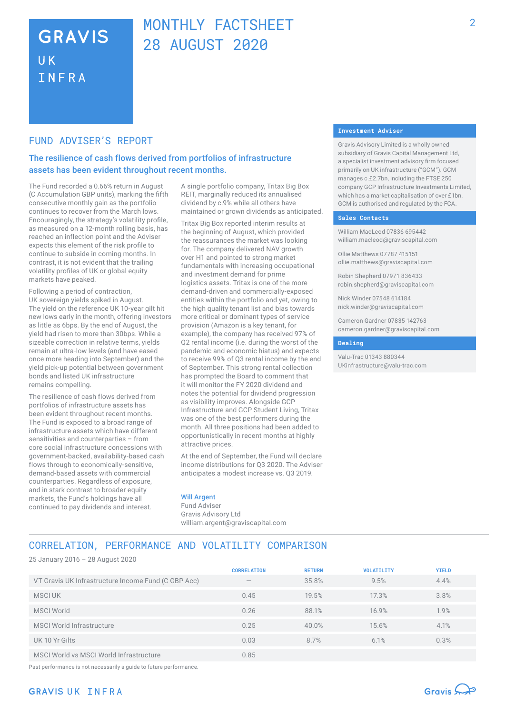## **GRAVIS UK** INFRA

## MONTHLY FACTSHEFT 28 AUGUST 2020

## FUND ADVISER'S REPORT

## The resilience of cash flows derived from portfolios of infrastructure assets has been evident throughout recent months.

The Fund recorded a 0.66% return in August (C Accumulation GBP units), marking the fifth consecutive monthly gain as the portfolio continues to recover from the March lows. Encouragingly, the strategy's volatility profile, as measured on a 12-month rolling basis, has reached an inflection point and the Adviser expects this element of the risk profile to continue to subside in coming months. In contrast, it is not evident that the trailing volatility profiles of UK or global equity markets have peaked.

Following a period of contraction, UK sovereign yields spiked in August. The yield on the reference UK 10-year gilt hit new lows early in the month, offering investors as little as 6bps. By the end of August, the yield had risen to more than 30bps. While a sizeable correction in relative terms, yields remain at ultra-low levels (and have eased once more heading into September) and the yield pick‑up potential between government bonds and listed UK infrastructure remains compelling.

The resilience of cash flows derived from portfolios of infrastructure assets has been evident throughout recent months. The Fund is exposed to a broad range of infrastructure assets which have different sensitivities and counterparties – from core social infrastructure concessions with government-backed, availability-based cash flows through to economically-sensitive, demand-based assets with commercial counterparties. Regardless of exposure, and in stark contrast to broader equity markets, the Fund's holdings have all continued to pay dividends and interest.

A single portfolio company, Tritax Big Box REIT, marginally reduced its annualised dividend by c.9% while all others have maintained or grown dividends as anticipated.

Tritax Big Box reported interim results at the beginning of August, which provided the reassurances the market was looking for. The company delivered NAV growth over H1 and pointed to strong market fundamentals with increasing occupational and investment demand for prime logistics assets. Tritax is one of the more demand-driven and commercially-exposed entities within the portfolio and yet, owing to the high quality tenant list and bias towards more critical or dominant types of service provision (Amazon is a key tenant, for example), the company has received 97% of Q2 rental income (i.e. during the worst of the pandemic and economic hiatus) and expects to receive 99% of Q3 rental income by the end of September. This strong rental collection has prompted the Board to comment that it will monitor the FY 2020 dividend and notes the potential for dividend progression as visibility improves. Alongside GCP Infrastructure and GCP Student Living, Tritax was one of the best performers during the month. All three positions had been added to opportunistically in recent months at highly attractive prices.

At the end of September, the Fund will declare income distributions for Q3 2020. The Adviser anticipates a modest increase vs. Q3 2019.

#### Will Argent

Fund Adviser Gravis Advisory Ltd william.argent@graviscapital.com

#### **Investment Adviser**

Gravis Advisory Limited is a wholly owned subsidiary of Gravis Capital Management Ltd, a specialist investment advisory firm focused primarily on UK infrastructure ("GCM"). GCM manages c.£2.7bn, including the FTSE 250 company GCP Infrastructure Investments Limited, which has a market capitalisation of over £1bn. GCM is authorised and regulated by the FCA.

#### **Sales Contacts**

William MacLeod 07836 695442 william.macleod@graviscapital.com

Ollie Matthews 07787 415151 ollie.matthews@graviscapital.com

Robin Shepherd 07971 836433 robin.shepherd@graviscapital.com

Nick Winder 07548 614184 nick.winder@graviscapital.com

Cameron Gardner 07835 142763 cameron.gardner@graviscapital.com

#### **Dealing**

Valu-Trac 01343 880344 UKinfrastructure@valu-trac.com

## CORRELATION, PERFORMANCE AND VOLATILITY COMPARISON

25 January 2016 – 28 August 2020

|                                                     | <b>CORRELATION</b> | <b>RETURN</b> | <b>VOLATILITY</b> | <b>YIELD</b> |
|-----------------------------------------------------|--------------------|---------------|-------------------|--------------|
| VT Gravis UK Infrastructure Income Fund (C GBP Acc) | $\qquad \qquad$    | 35.8%         | 9.5%              | 4.4%         |
| MSCI UK                                             | 0.45               | 19.5%         | 17.3%             | 3.8%         |
| <b>MSCI World</b>                                   | 0.26               | 88.1%         | 16.9%             | 1.9%         |
| MSCI World Infrastructure                           | 0.25               | 40.0%         | 15.6%             | 4.1%         |
| UK 10 Yr Gilts                                      | 0.03               | 8.7%          | 6.1%              | 0.3%         |
| MSCI World vs MSCI World Infrastructure             | 0.85               |               |                   |              |

Past performance is not necessarily a guide to future performance.